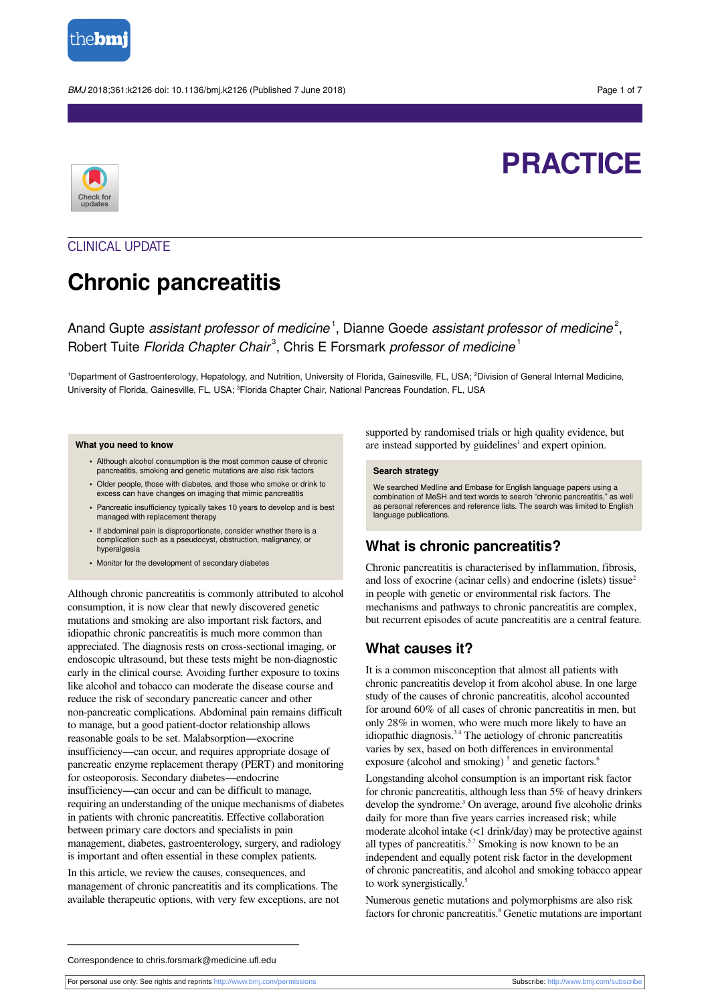

BMJ 2018;361:k2126 doi: 10.1136/bmj.k2126 (Published 7 June 2018) Page 1 of 7



# **PRACTICE**

## CLINICAL UPDATE

## **Chronic pancreatitis**

Anand Gupte *assistant professor of medicine*<sup>1</sup>, Dianne Goede *assistant professor of medicine*<sup>2</sup>, Robert Tuite Florida Chapter Chair<sup>3</sup>, Chris E Forsmark professor of medicine<sup>1</sup>

<sup>1</sup>Department of Gastroenterology, Hepatology, and Nutrition, University of Florida, Gainesville, FL, USA; <sup>2</sup>Division of General Internal Medicine, University of Florida, Gainesville, FL, USA; <sup>3</sup>Florida Chapter Chair, National Pancreas Foundation, FL, USA

#### **What you need to know**

- **•** Although alcohol consumption is the most common cause of chronic pancreatitis, smoking and genetic mutations are also risk factors
- **•** Older people, those with diabetes, and those who smoke or drink to excess can have changes on imaging that mimic pancreatitis
- **•** Pancreatic insufficiency typically takes 10 years to develop and is best managed with replacement therapy
- **•** If abdominal pain is disproportionate, consider whether there is a complication such as a pseudocyst, obstruction, malignancy, or hyperalgesia
- **•** Monitor for the development of secondary diabetes

Although chronic pancreatitis is commonly attributed to alcohol consumption, it is now clear that newly discovered genetic mutations and smoking are also important risk factors, and idiopathic chronic pancreatitis is much more common than appreciated. The diagnosis rests on cross-sectional imaging, or endoscopic ultrasound, but these tests might be non-diagnostic early in the clinical course. Avoiding further exposure to toxins like alcohol and tobacco can moderate the disease course and reduce the risk of secondary pancreatic cancer and other non-pancreatic complications. Abdominal pain remains difficult to manage, but a good patient-doctor relationship allows reasonable goals to be set. Malabsorption—exocrine insufficiency—can occur, and requires appropriate dosage of pancreatic enzyme replacement therapy (PERT) and monitoring for osteoporosis. Secondary diabetes—endocrine insufficiency—can occur and can be difficult to manage, requiring an understanding of the unique mechanisms of diabetes in patients with chronic pancreatitis. Effective collaboration between primary care doctors and specialists in pain management, diabetes, gastroenterology, surgery, and radiology is important and often essential in these complex patients.

In this article, we review the causes, consequences, and management of chronic pancreatitis and its complications. The available therapeutic options, with very few exceptions, are not supported by randomised trials or high quality evidence, but are instead supported by guidelines<sup>1</sup> and expert opinion.

#### **Search strategy**

We searched Medline and Embase for English language papers using a combination of MeSH and text words to search "chronic pancreatitis," as well as personal references and reference lists. The search was limited to English language publications.

## **What is chronic pancreatitis?**

Chronic pancreatitis is characterised by inflammation, fibrosis, and loss of exocrine (acinar cells) and endocrine (islets) tissue 2 in people with genetic or environmental risk factors. The mechanisms and pathways to chronic pancreatitis are complex, but recurrent episodes of acute pancreatitis are a central feature.

#### **What causes it?**

It is a common misconception that almost all patients with chronic pancreatitis develop it from alcohol abuse. In one large study of the causes of chronic pancreatitis, alcohol accounted for around 60% of all cases of chronic pancreatitis in men, but only 28% in women, who were much more likely to have an idiopathic diagnosis.<sup>34</sup> The aetiology of chronic pancreatitis varies by sex, based on both differences in environmental exposure (alcohol and smoking)<sup>5</sup> and genetic factors.<sup>6</sup>

Longstanding alcohol consumption is an important risk factor for chronic pancreatitis, although less than 5% of heavy drinkers develop the syndrome. 3 On average, around five alcoholic drinks daily for more than five years carries increased risk; while moderate alcohol intake (<1 drink/day) may be protective against all types of pancreatitis.<sup>57</sup> Smoking is now known to be an independent and equally potent risk factor in the development of chronic pancreatitis, and alcohol and smoking tobacco appear to work synergistically. 5

Numerous genetic mutations and polymorphisms are also risk factors for chronic pancreatitis. 8 Genetic mutations are important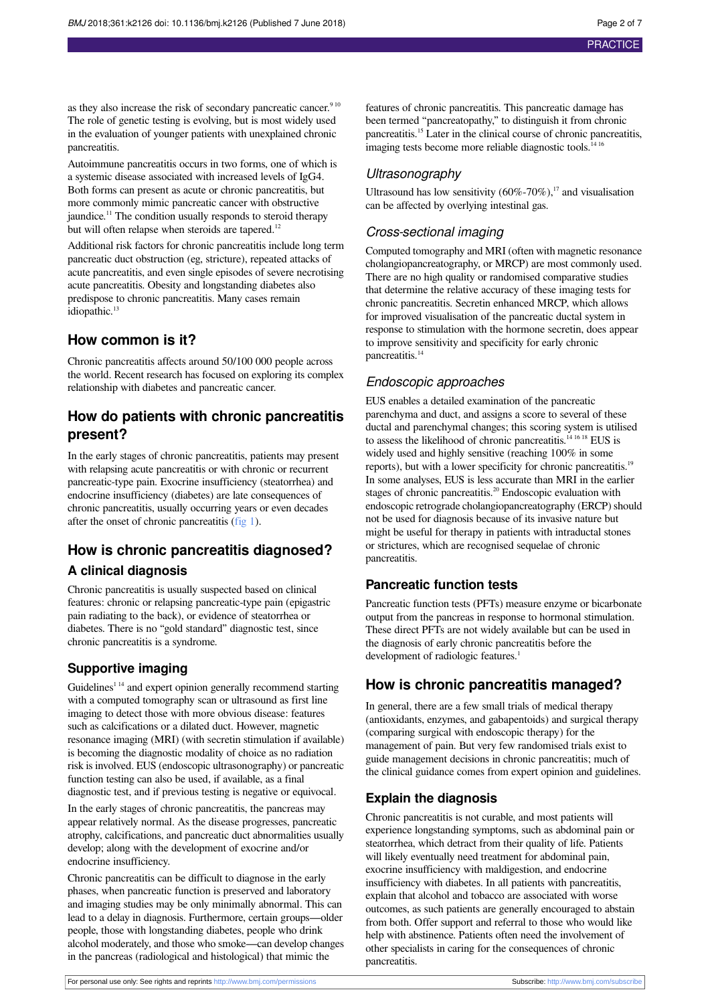as they also increase the risk of secondary pancreatic cancer.<sup>910</sup> The role of genetic testing is evolving, but is most widely used in the evaluation of younger patients with unexplained chronic pancreatitis.

Autoimmune pancreatitis occurs in two forms, one of which is a systemic disease associated with increased levels of IgG4. Both forms can present as acute or chronic pancreatitis, but more commonly mimic pancreatic cancer with obstructive jaundice.<sup>11</sup> The condition usually responds to steroid therapy but will often relapse when steroids are tapered.<sup>12</sup>

Additional risk factors for chronic pancreatitis include long term pancreatic duct obstruction (eg, stricture), repeated attacks of acute pancreatitis, and even single episodes of severe necrotising acute pancreatitis. Obesity and longstanding diabetes also predispose to chronic pancreatitis. Many cases remain idiopathic. 13

## **How common is it?**

Chronic pancreatitis affects around 50/100 000 people across the world. Recent research has focused on exploring its complex relationship with diabetes and pancreatic cancer.

## **How do patients with chronic pancreatitis present?**

In the early stages of chronic pancreatitis, patients may present with relapsing acute pancreatitis or with chronic or recurrent pancreatic-type pain. Exocrine insufficiency (steatorrhea) and endocrine insufficiency (diabetes) are late consequences of chronic pancreatitis, usually occurring years or even decades after the onset of chronic pancreatitis ([fig 1\)](#page-6-0).

## **How is chronic pancreatitis diagnosed? A clinical diagnosis**

Chronic pancreatitis is usually suspected based on clinical features: chronic or relapsing pancreatic-type pain (epigastric pain radiating to the back), or evidence of steatorrhea or diabetes. There is no "gold standard" diagnostic test, since chronic pancreatitis is a syndrome.

#### **Supportive imaging**

Guidelines<sup>114</sup> and expert opinion generally recommend starting with a computed tomography scan or ultrasound as first line imaging to detect those with more obvious disease: features such as calcifications or a dilated duct. However, magnetic resonance imaging (MRI) (with secretin stimulation if available) is becoming the diagnostic modality of choice as no radiation risk is involved. EUS (endoscopic ultrasonography) or pancreatic function testing can also be used, if available, as a final diagnostic test, and if previous testing is negative or equivocal.

In the early stages of chronic pancreatitis, the pancreas may appear relatively normal. As the disease progresses, pancreatic atrophy, calcifications, and pancreatic duct abnormalities usually develop; along with the development of exocrine and/or endocrine insufficiency.

Chronic pancreatitis can be difficult to diagnose in the early phases, when pancreatic function is preserved and laboratory and imaging studies may be only minimally abnormal. This can lead to a delay in diagnosis. Furthermore, certain groups—older people, those with longstanding diabetes, people who drink alcohol moderately, and those who smoke—can develop changes in the pancreas (radiological and histological) that mimic the

features of chronic pancreatitis. This pancreatic damage has been termed "pancreatopathy," to distinguish it from chronic pancreatitis. <sup>15</sup> Later in the clinical course of chronic pancreatitis, imaging tests become more reliable diagnostic tools.<sup>14 16</sup>

#### **Ultrasonography**

Ultrasound has low sensitivity  $(60\% - 70\%)$ ,<sup>17</sup> and visualisation can be affected by overlying intestinal gas.

#### Cross-sectional imaging

Computed tomography and MRI (often with magnetic resonance cholangiopancreatography, or MRCP) are most commonly used. There are no high quality or randomised comparative studies that determine the relative accuracy of these imaging tests for chronic pancreatitis. Secretin enhanced MRCP, which allows for improved visualisation of the pancreatic ductal system in response to stimulation with the hormone secretin, does appear to improve sensitivity and specificity for early chronic pancreatitis. 14

#### Endoscopic approaches

EUS enables a detailed examination of the pancreatic parenchyma and duct, and assigns a score to several of these ductal and parenchymal changes; this scoring system is utilised to assess the likelihood of chronic pancreatitis. 14 16 18 EUS is widely used and highly sensitive (reaching 100% in some reports), but with a lower specificity for chronic pancreatitis.<sup>19</sup> In some analyses, EUS is less accurate than MRI in the earlier stages of chronic pancreatitis.<sup>20</sup> Endoscopic evaluation with endoscopic retrograde cholangiopancreatography (ERCP) should not be used for diagnosis because of its invasive nature but might be useful for therapy in patients with intraductal stones or strictures, which are recognised sequelae of chronic pancreatitis.

### **Pancreatic function tests**

Pancreatic function tests (PFTs) measure enzyme or bicarbonate output from the pancreas in response to hormonal stimulation. These direct PFTs are not widely available but can be used in the diagnosis of early chronic pancreatitis before the development of radiologic features. 1

### **How is chronic pancreatitis managed?**

In general, there are a few small trials of medical therapy (antioxidants, enzymes, and gabapentoids) and surgical therapy (comparing surgical with endoscopic therapy) for the management of pain. But very few randomised trials exist to guide management decisions in chronic pancreatitis; much of the clinical guidance comes from expert opinion and guidelines.

#### **Explain the diagnosis**

Chronic pancreatitis is not curable, and most patients will experience longstanding symptoms, such as abdominal pain or steatorrhea, which detract from their quality of life. Patients will likely eventually need treatment for abdominal pain, exocrine insufficiency with maldigestion, and endocrine insufficiency with diabetes. In all patients with pancreatitis, explain that alcohol and tobacco are associated with worse outcomes, as such patients are generally encouraged to abstain from both. Offer support and referral to those who would like help with abstinence. Patients often need the involvement of other specialists in caring for the consequences of chronic pancreatitis.

```
 http://www.bmj.com/permissionshttp://www.bmj.com/subscribe
```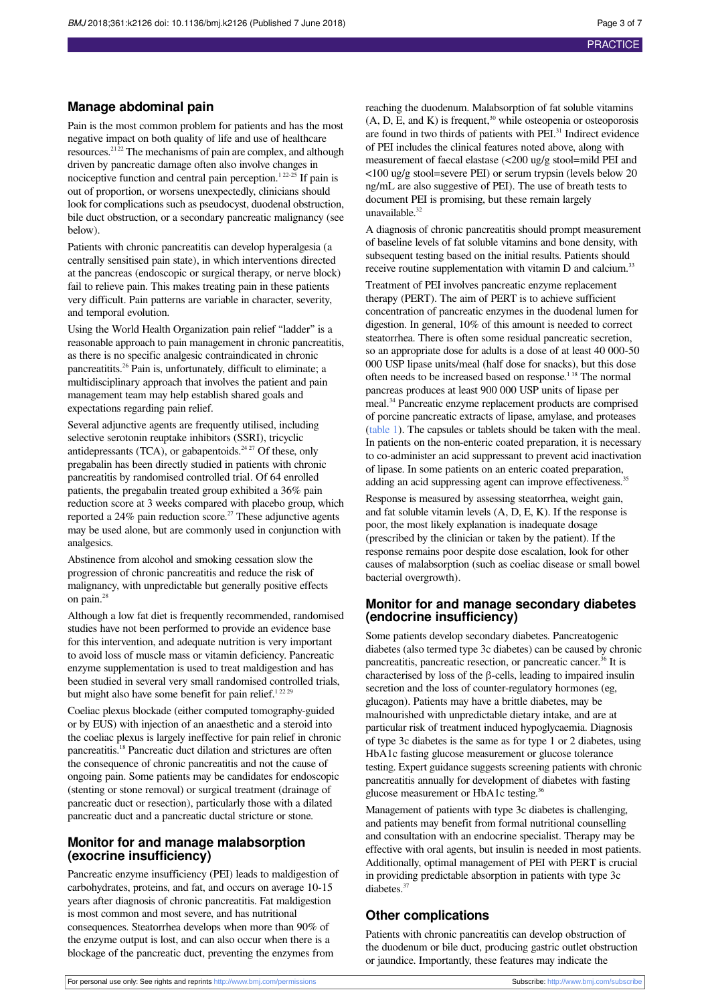## **Manage abdominal pain**

Pain is the most common problem for patients and has the most negative impact on both quality of life and use of healthcare resources.<sup>2122</sup> The mechanisms of pain are complex, and although driven by pancreatic damage often also involve changes in nociceptive function and central pain perception.<sup>122-25</sup> If pain is out of proportion, or worsens unexpectedly, clinicians should look for complications such as pseudocyst, duodenal obstruction, bile duct obstruction, or a secondary pancreatic malignancy (see below).

Patients with chronic pancreatitis can develop hyperalgesia (a centrally sensitised pain state), in which interventions directed at the pancreas (endoscopic or surgical therapy, or nerve block) fail to relieve pain. This makes treating pain in these patients very difficult. Pain patterns are variable in character, severity, and temporal evolution.

Using the World Health Organization pain relief "ladder" is a reasonable approach to pain management in chronic pancreatitis, as there is no specific analgesic contraindicated in chronic pancreatitits. <sup>26</sup> Pain is, unfortunately, difficult to eliminate; a multidisciplinary approach that involves the patient and pain management team may help establish shared goals and expectations regarding pain relief.

Several adjunctive agents are frequently utilised, including selective serotonin reuptake inhibitors (SSRI), tricyclic antidepressants (TCA), or gabapentoids.<sup>24 27</sup> Of these, only pregabalin has been directly studied in patients with chronic pancreatitis by randomised controlled trial. Of 64 enrolled patients, the pregabalin treated group exhibited a 36% pain reduction score at 3 weeks compared with placebo group, which reported a 24% pain reduction score.<sup>27</sup> These adjunctive agents may be used alone, but are commonly used in conjunction with analgesics.

Abstinence from alcohol and smoking cessation slow the progression of chronic pancreatitis and reduce the risk of malignancy, with unpredictable but generally positive effects on pain. 28

Although a low fat diet is frequently recommended, randomised studies have not been performed to provide an evidence base for this intervention, and adequate nutrition is very important to avoid loss of muscle mass or vitamin deficiency. Pancreatic enzyme supplementation is used to treat maldigestion and has been studied in several very small randomised controlled trials, but might also have some benefit for pain relief.<sup>12229</sup>

Coeliac plexus blockade (either computed tomography-guided or by EUS) with injection of an anaesthetic and a steroid into the coeliac plexus is largely ineffective for pain relief in chronic pancreatitis. <sup>18</sup> Pancreatic duct dilation and strictures are often the consequence of chronic pancreatitis and not the cause of ongoing pain. Some patients may be candidates for endoscopic (stenting or stone removal) or surgical treatment (drainage of pancreatic duct or resection), particularly those with a dilated pancreatic duct and a pancreatic ductal stricture or stone.

## **Monitor for and manage malabsorption (exocrine insufficiency)**

Pancreatic enzyme insufficiency (PEI) leads to maldigestion of carbohydrates, proteins, and fat, and occurs on average 10-15 years after diagnosis of chronic pancreatitis. Fat maldigestion is most common and most severe, and has nutritional consequences. Steatorrhea develops when more than 90% of the enzyme output is lost, and can also occur when there is a blockage of the pancreatic duct, preventing the enzymes from

reaching the duodenum. Malabsorption of fat soluble vitamins  $(A, D, E, and K)$  is frequent,<sup>30</sup> while osteopenia or osteoporosis are found in two thirds of patients with PEI.<sup>31</sup> Indirect evidence of PEI includes the clinical features noted above, along with measurement of faecal elastase (<200 ug/g stool=mild PEI and <100 ug/g stool=severe PEI) or serum trypsin (levels below 20 ng/mL are also suggestive of PEI). The use of breath tests to document PEI is promising, but these remain largely unavailable. 32

A diagnosis of chronic pancreatitis should prompt measurement of baseline levels of fat soluble vitamins and bone density, with subsequent testing based on the initial results. Patients should receive routine supplementation with vitamin D and calcium.<sup>33</sup>

Treatment of PEI involves pancreatic enzyme replacement therapy (PERT). The aim of PERT is to achieve sufficient concentration of pancreatic enzymes in the duodenal lumen for digestion. In general, 10% of this amount is needed to correct steatorrhea. There is often some residual pancreatic secretion, so an appropriate dose for adults is a dose of at least 40 000-50 000 USP lipase units/meal (half dose for snacks), but this dose often needs to be increased based on response.<sup>118</sup> The normal pancreas produces at least 900 000 USP units of lipase per meal.<sup>34</sup> Pancreatic enzyme replacement products are comprised of porcine pancreatic extracts of lipase, amylase, and proteases ([table 1\)](#page-5-0). The capsules or tablets should be taken with the meal. In patients on the non-enteric coated preparation, it is necessary to co-administer an acid suppressant to prevent acid inactivation of lipase. In some patients on an enteric coated preparation, adding an acid suppressing agent can improve effectiveness.<sup>35</sup>

Response is measured by assessing steatorrhea, weight gain, and fat soluble vitamin levels (A, D, E, K). If the response is poor, the most likely explanation is inadequate dosage (prescribed by the clinician or taken by the patient). If the response remains poor despite dose escalation, look for other causes of malabsorption (such as coeliac disease or small bowel bacterial overgrowth).

#### **Monitor for and manage secondary diabetes (endocrine insufficiency)**

Some patients develop secondary diabetes. Pancreatogenic diabetes (also termed type 3c diabetes) can be caused by chronic pancreatitis, pancreatic resection, or pancreatic cancer.<sup>36</sup> It is characterised by loss of the β-cells, leading to impaired insulin secretion and the loss of counter-regulatory hormones (eg, glucagon). Patients may have a brittle diabetes, may be malnourished with unpredictable dietary intake, and are at particular risk of treatment induced hypoglycaemia. Diagnosis of type 3c diabetes is the same as for type 1 or 2 diabetes, using HbA1c fasting glucose measurement or glucose tolerance testing. Expert guidance suggests screening patients with chronic pancreatitis annually for development of diabetes with fasting glucose measurement or HbA1c testing.<sup>36</sup>

Management of patients with type 3c diabetes is challenging, and patients may benefit from formal nutritional counselling and consultation with an endocrine specialist. Therapy may be effective with oral agents, but insulin is needed in most patients. Additionally, optimal management of PEI with PERT is crucial in providing predictable absorption in patients with type 3c diabetes. 37

## **Other complications**

Patients with chronic pancreatitis can develop obstruction of the duodenum or bile duct, producing gastric outlet obstruction or jaundice. Importantly, these features may indicate the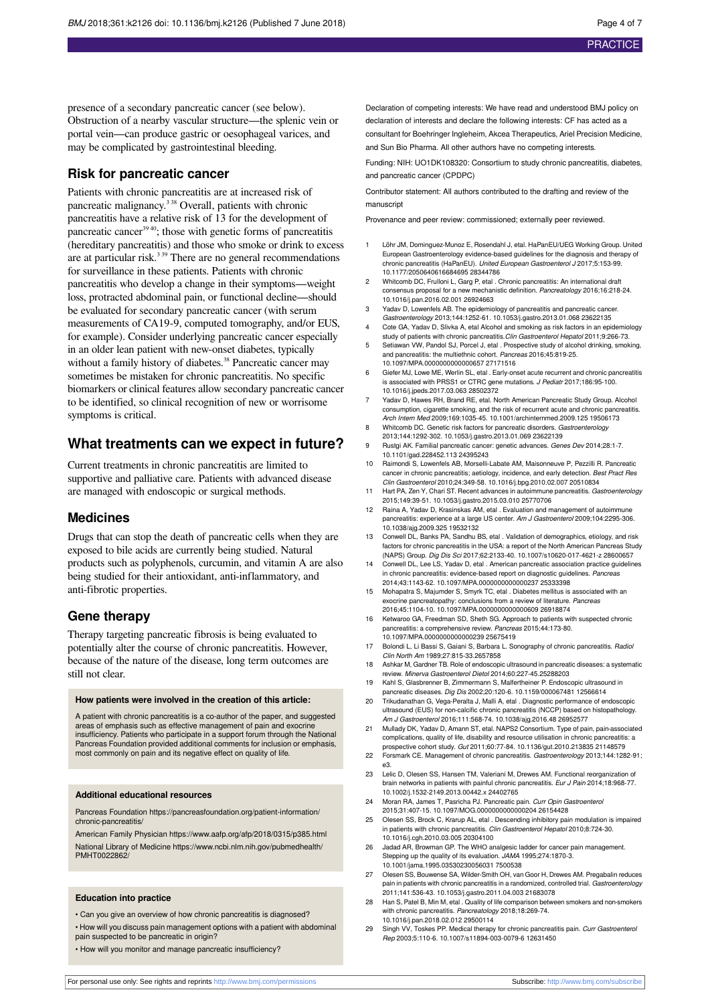presence of a secondary pancreatic cancer (see below). Obstruction of a nearby vascular structure—the splenic vein or portal vein—can produce gastric or oesophageal varices, and may be complicated by gastrointestinal bleeding.

## **Risk for pancreatic cancer**

Patients with chronic pancreatitis are at increased risk of pancreatic malignancy.<sup>338</sup> Overall, patients with chronic pancreatitis have a relative risk of 13 for the development of pancreatic cancer<sup>39 40</sup>; those with genetic forms of pancreatitis (hereditary pancreatitis) and those who smoke or drink to excess are at particular risk.<sup>339</sup> There are no general recommendations for surveillance in these patients. Patients with chronic pancreatitis who develop a change in their symptoms—weight loss, protracted abdominal pain, or functional decline—should be evaluated for secondary pancreatic cancer (with serum measurements of CA19-9, computed tomography, and/or EUS, for example). Consider underlying pancreatic cancer especially in an older lean patient with new-onset diabetes, typically without a family history of diabetes.<sup>38</sup> Pancreatic cancer may sometimes be mistaken for chronic pancreatitis. No specific biomarkers or clinical features allow secondary pancreatic cancer to be identified, so clinical recognition of new or worrisome symptoms is critical.

## **What treatments can we expect in future?**

Current treatments in chronic pancreatitis are limited to supportive and palliative care. Patients with advanced disease are managed with endoscopic or surgical methods.

#### **Medicines**

Drugs that can stop the death of pancreatic cells when they are exposed to bile acids are currently being studied. Natural products such as polyphenols, curcumin, and vitamin A are also being studied for their antioxidant, anti-inflammatory, and anti-fibrotic properties.

#### **Gene therapy**

Therapy targeting pancreatic fibrosis is being evaluated to potentially alter the course of chronic pancreatitis. However, because of the nature of the disease, long term outcomes are still not clear.

#### **How patients were involved in the creation of this article:**

A patient with chronic pancreatitis is a co-author of the paper, and suggested areas of emphasis such as effective management of pain and exocrine insufficiency. Patients who participate in a support forum through the National Pancreas Foundation provided additional comments for inclusion or emphasis, most commonly on pain and its negative effect on quality of life.

#### **Additional educational resources**

Pancreas Foundation https://pancreasfoundation.org/patient-information/ chronic-pancreatitis/

American Family Physician https://www.aafp.org/afp/2018/0315/p385.html National Library of Medicine https://www.ncbi.nlm.nih.gov/pubmedhealth/ PMHT0022862

#### **Education into practice**

• Can you give an overview of how chronic pancreatitis is diagnosed?

• How will you discuss pain management options with a patient with abdominal pain suspected to be pancreatic in origin?

• How will you monitor and manage pancreatic insufficiency?

Declaration of competing interests: We have read and understood BMJ policy on declaration of interests and declare the following interests: CF has acted as a consultant for Boehringer Ingleheim, Akcea Therapeutics, Ariel Precision Medicine, and Sun Bio Pharma. All other authors have no competing interests.

Funding: NIH: UO1DK108320: Consortium to study chronic pancreatitis, diabetes, and pancreatic cancer (CPDPC)

Contributor statement: All authors contributed to the drafting and review of the manuscript

Provenance and peer review: commissioned; externally peer reviewed.

- 1 Löhr JM, Dominguez-Munoz E, Rosendahl J, etal. HaPanEU/UEG Working Group. United European Gastroenterology evidence-based guidelines for the diagnosis and therapy of chronic pancreatitis (HaPanEU). United European Gastroenterol J 2017;5:153-99. 10.1177/2050640616684695 28344786
- 2 Whitcomb DC, Frulloni L, Garg P, etal . Chronic pancreatitis: An international draft consensus proposal for a new mechanistic definition. Pancreatology 2016;16:218-24. 10.1016/j.pan.2016.02.001 26924663
- Yadav D, Lowenfels AB. The epidemiology of pancreatitis and pancreatic cancer Gastroenterology 2013;144:1252-61. 10.1053/j.gastro.2013.01.068 23622135
- 4 Cote GA, Yadav D, Slivka A, etal Alcohol and smoking as risk factors in an epidemiology study of patients with chronic pancreatitis. Clin Gastroenterol Hepatol 2011;9:266-73.<br>Setiawan VW, Pandol SJ, Porcel J, etal . Prospective study of alcohol drinking, smoking,
- and pancreatitis: the multiethnic cohort. Pancreas 2016;45:819-25. 10.1097/MPA.0000000000000657 27171516
- 6 Giefer MJ, Lowe ME, Werlin SL, etal . Early-onset acute recurrent and chronic pancre is associated with PRSS1 or CTRC gene mutations. J Pediatr 2017;186:95-100. 10.1016/j.jpeds.2017.03.063 28502372
- 7 Yadav D, Hawes RH, Brand RE, etal. North American Pancreatic Study Group. Alcohol consumption, cigarette smoking, and the risk of recurrent acute and chronic pancreatitis. Arch Intern Med 2009;169:1035-45. 10.1001/archinternmed.2009.125 19506173
- 8 Whitcomb DC. Genetic risk factors for pancreatic disorders. Gastroenterology 2013;144:1292-302. 10.1053/j.gastro.2013.01.069 23622139
- 9 Rustgi AK. Familial pancreatic cancer: genetic advances. Genes Dev 2014;28:1-7. 10.1101/gad.228452.113 24395243
- 10 Raimondi S, Lowenfels AB, Morselli-Labate AM, Maisonneuve P, Pezzilli R. Pancreatic cancer in chronic pancreatitis; aetiology, incidence, and early detection. Best Pract Res Clin Gastroenterol 2010;24:349-58. 10.1016/j.bpg.2010.02.007 20510834
- 11 Hart PA, Zen Y, Chari ST. Recent advances in autoimmune pancreatitis. Gastroenterology 2015;149:39-51. 10.1053/j.gastro.2015.03.010 25770706
- 12 Raina A, Yadav D, Krasinskas AM, etal . Evaluation and management of autoimmune pancreatitis: experience at a large US center. Am J Gastroenterol 2009;104:2295-306. 10.1038/ajg.2009.325 19532132
- 13 Conwell DL, Banks PA, Sandhu BS, etal . Validation of demographics, etiology, and risk factors for chronic pancreatitis in the USA: a report of the North American Pancreas Study (NAPS) Group. Dig Dis Sci 2017;62:2133-40. 10.1007/s10620-017-4621-z 28600657
- 14 Conwell DL, Lee LS, Yadav D, etal . American pancreatic association practice guidelines in chronic pancreatitis: evidence-based report on diagnostic guidelines. Pancreas 2014;43:1143-62. 10.1097/MPA.0000000000000237 25333398
- 15 Mohapatra S, Majumder S, Smyrk TC, etal . Diabetes mellitus is associated with an exocrine pancreatopathy: conclusions from a review of literature. Pancreas 2016;45:1104-10. 10.1097/MPA.0000000000000609 26918874
- 16 Ketwaroo GA, Freedman SD, Sheth SG. Approach to patients with suspected chronic pancreatitis: a comprehensive review. Pancreas 2015;44:173-80. 10.1097/MPA.0000000000000239 25675419
- 17 Bolondi L, Li Bassi S, Gaiani S, Barbara L. Sonography of chronic pancreatitis. Radiol Clin North Am 1989;27:815-33.2657858
- 18 Ashkar M, Gardner TB. Role of endoscopic ultrasound in pancreatic diseases: a systematic review. Minerva Gastroenterol Dietol 2014;60:227-45.25288203
- 19 Kahl S, Glasbrenner B, Zimmermann S, Malfertheiner P. Endoscopic ultrasound in pancreatic diseases. Dig Dis 2002;20:120-6. 10.1159/000067481 12566614
- 20 Trikudanathan G, Vega-Peralta J, Malli A, etal . Diagnostic performance of endoscopic ultrasound (EUS) for non-calcific chronic pancreatitis (NCCP) based on histopathology. Am J Gastroenterol 2016;111:568-74. 10.1038/ajg.2016.48 26952577
- 21 Mullady DK, Yadav D, Amann ST, etal. NAPS2 Consortium. Type of pain, pain-associa complications, quality of life, disability and resource utilisation in chronic pancreatitis: a prospective cohort study. Gut 2011;60:77-84. 10.1136/gut.2010.213835 21148579 22 Forsmark CE. Management of chronic pancreatitis. Gastroenterology 2013;144:1282-91;
- $^{\circ}$
- 23 Lelic D, Olesen SS, Hansen TM, Valeriani M, Drewes AM. Functional reorganization of brain networks in patients with painful chronic pancreatitis. Eur J Pain 2014;18:968-77. 10.1002/j.1532-2149.2013.00442.x 24402765
- 24 Moran RA, James T, Pasricha PJ, Pancreatic pain. Curr Opin Gastroenterol 2015;31:407-15. 10.1097/MOG.0000000000000204 26154428
- 25 Olesen SS, Brock C, Krarup AL, etal . Descending inhibitory pain modulation is impaired in patients with chronic pancreatitis. Clin Gastroenterol Hepatol 2010;8:724-30. 10.1016/j.cgh.2010.03.005 20304100
- 26 Jadad AR, Browman GP. The WHO analgesic ladder for cancer pain management. Stepping up the quality of its evaluation. JAMA 1995;274:1870-3. 10.1001/jama.1995.03530230056031 7500538
- 27 Olesen SS, Bouwense SA, Wilder-Smith OH, van Goor H, Drewes AM. Pregabalin reduces pain in patients with chronic pancreatitis in a randomized, controlled trial. Gastroenterology 2011;141:536-43. 10.1053/j.gastro.2011.04.003 21683078
- 28 Han S, Patel B, Min M, etal . Quality of life comparison between smokers and non-smokers with chronic pancreatitis. Pancreatology 2018;18:269-74. 10.1016/j.pan.2018.02.012 29500114
- 29 Singh VV, Toskes PP. Medical therapy for chronic pancreatitis pain. Curr Gastroenterol Rep 2003;5:110-6. 10.1007/s11894-003-0079-6 12631450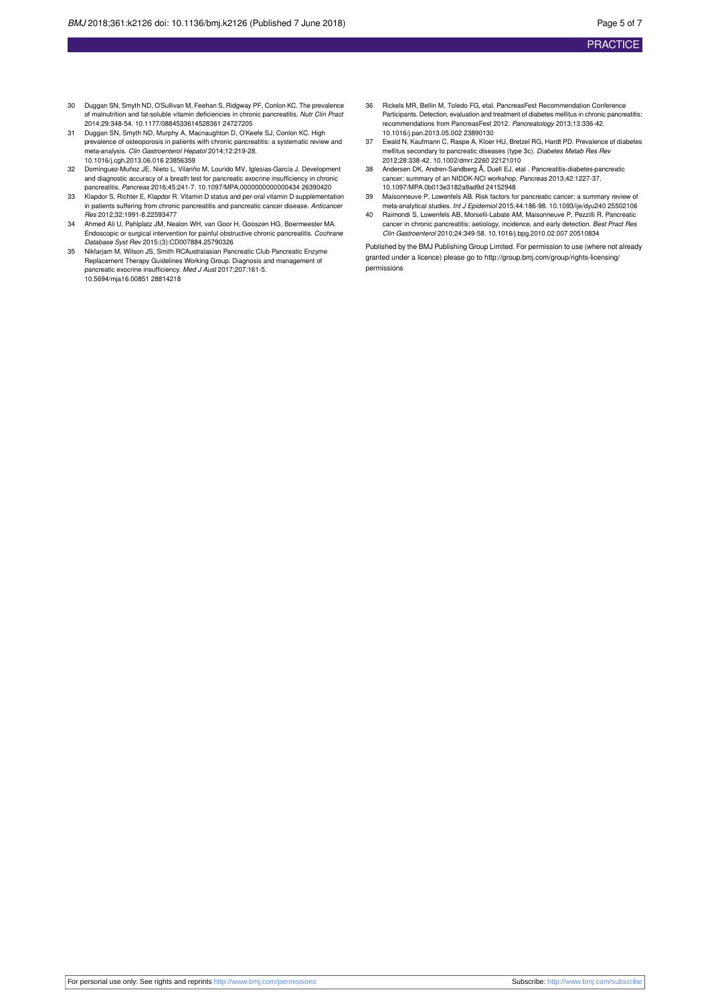- 30 Duggan SN, Smyth ND, O'Sullivan M, Feehan S, Ridgway PF, Conlon KC. The prevalence of malnutrition and fat-soluble vitamin deficiencies in chronic pancreatitis. Nutr Clin Pract 2014;29:348-54. 10.1177/0884533614528361 24727205
- 31 Duggan SN, Smyth ND, Murphy A, Macnaughton D, O'Keefe SJ, Conlon KC. High prevalence of osteoporosis in patients with chronic pancreatitis: a systematic review and<br>meta-analysis. *Clin Gastroenterol Hepatol* 2014;12:219-28. 10.1016/j.cgh.2013.06.016 23856359
- 32 Domínguez-Muñoz JE, Nieto L, Vilariño M, Lourido MV, Iglesias-García J. Development and diagnostic accuracy of a breath test for pancreatic exocrine insufficiency in chronic pancreatitis. Pancreas 2016;45:241-7. 10.1097/MPA.0000000000000434 26390420
- 33 Klapdor S, Richter E, Klapdor R. Vitamin D status and per-oral vitamin D supplementation in patients suffering from chronic pancreatitis and pancreatic cancer disease. Anticancer Res 2012;32:1991-8.22593477
- 34 Ahmed Ali U, Pahlplatz JM, Nealon WH, van Goor H, Gooszen HG, Boermeester MA. Endoscopic or surgical intervention for painful obstructive chronic pancreatitis. Cochrane Database Syst Rev 2015;(3):CD007884.25790326
- 35 Nikfarjam M, Wilson JS, Smith RCAustralasian Pancreatic Club Pancreatic Enzyme Replacement Therapy Guidelines Working Group. Diagnosis and management of pancreatic exocrine insufficiency. Med J Aust 2017;207:161-5. 10.5694/mja16.00851 28814218
- 36 Rickels MR, Bellin M, Toledo FG, etal. PancreasFest Recommendation Conference Participants. Detection, evaluation and treatment of diabetes mellitus in chronic pancreatitis: recommendations from PancreasFest 2012. Pancreatology 2013;13:336-42. 10.1016/j.pan.2013.05.002 23890130
- 37 Ewald N, Kaufmann C, Raspe A, Kloer HU, Bretzel RG, Hardt PD. Prevalence of diabetes mellitus secondary to pancreatic diseases (type 3c). Diabetes Metab Res Rev 2012;28:338-42. 10.1002/dmrr.2260 22121010
- 38 Andersen DK, Andren-Sandberg Å, Duell EJ, etal . Pancreatitis-diabetes-pancreatic cancer: summary of an NIDDK-NCI workshop. Pancreas 2013;42:1227-37. 10.1097/MPA.0b013e3182a9ad9d 24152948
- 39 Maisonneuve P, Lowenfels AB. Risk factors for pancreatic cancer: a summary revie meta-analytical studies. Int J Epidemiol 2015;44:186-98. 10.1093/ije/dyu240 25502106
- 40 Raimondi S, Lowenfels AB, Morselli-Labate AM, Maisonneuve P, Pezzilli R. Pancreatic cancer in chronic pancreatitis; aetiology, incidence, and early detection. Best Pract Res Clin Gastroenterol 2010;24:349-58. 10.1016/j.bpg.2010.02.007 20510834

Published by the BMJ Publishing Group Limited. For permission to use (where not already granted under a licence) please go to [http://group.bmj.com/group/rights-licensing/](http://group.bmj.com/group/rights-licensing/permissions) [permissions](http://group.bmj.com/group/rights-licensing/permissions)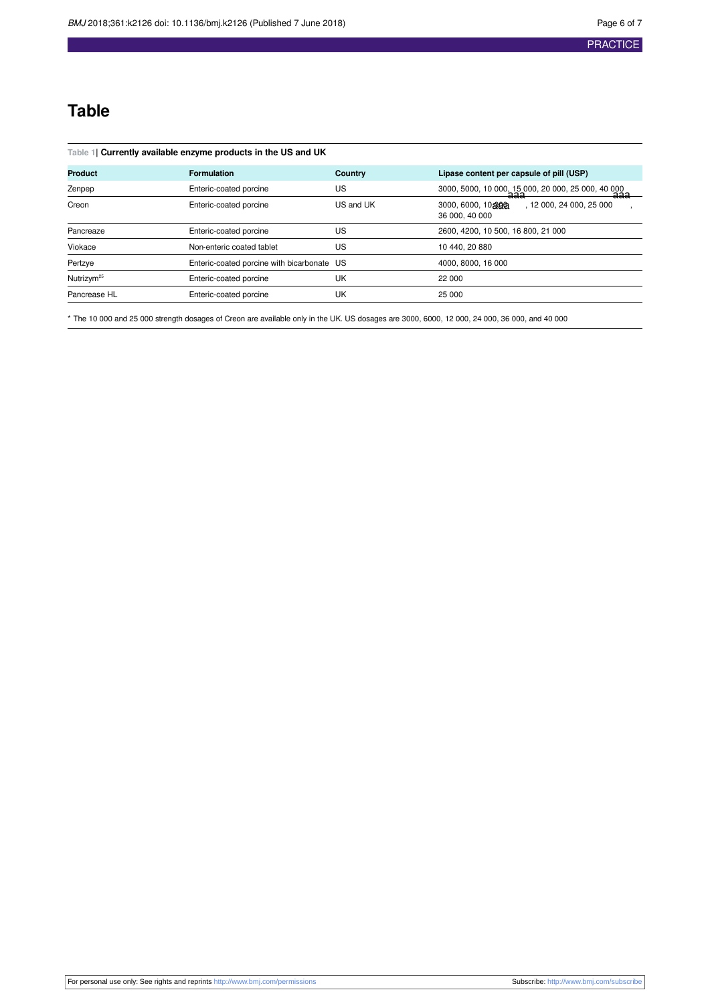## **Table**

<span id="page-5-0"></span>

| Table 1  Currently available enzyme products in the US and UK |                                            |                |                                                                  |
|---------------------------------------------------------------|--------------------------------------------|----------------|------------------------------------------------------------------|
| Product                                                       | <b>Formulation</b>                         | <b>Country</b> | Lipase content per capsule of pill (USP)                         |
| Zenpep                                                        | Enteric-coated porcine                     | US             | 3000, 5000, 10 000, 15 000, 20 000, 25 000, 40 000<br>aaa<br>aaa |
| Creon                                                         | Enteric-coated porcine                     | US and UK      | , 12 000, 24 000, 25 000<br>3000, 6000, 10 AGA<br>36 000, 40 000 |
| Pancreaze                                                     | Enteric-coated porcine                     | US             | 2600, 4200, 10 500, 16 800, 21 000                               |
| Viokace                                                       | Non-enteric coated tablet                  | US             | 10 440, 20 880                                                   |
| Pertzye                                                       | Enteric-coated porcine with bicarbonate US |                | 4000, 8000, 16 000                                               |
| Nutrizym <sup>25</sup>                                        | Enteric-coated porcine                     | UK             | 22 000                                                           |
| Pancrease HL                                                  | Enteric-coated porcine                     | UK             | 25 000                                                           |

\* The 10 000 and 25 000 strength dosages of Creon are available only in the UK. US dosages are 3000, 6000, 12 000, 24 000, 36 000, and 40 000